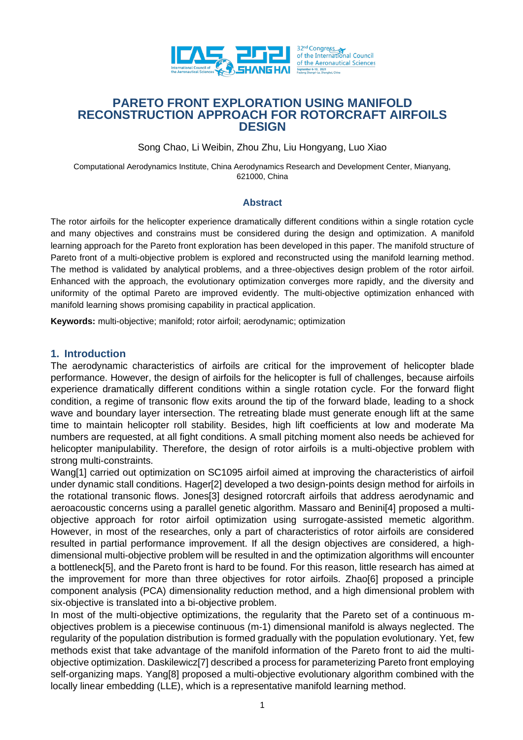

# **PARETO FRONT EXPLORATION USING MANIFOLD RECONSTRUCTION APPROACH FOR ROTORCRAFT AIRFOILS DESIGN**

Song Chao, Li Weibin, Zhou Zhu, Liu Hongyang, Luo Xiao

Computational Aerodynamics Institute, China Aerodynamics Research and Development Center, Mianyang, 621000, China

### **Abstract**

The rotor airfoils for the helicopter experience dramatically different conditions within a single rotation cycle and many objectives and constrains must be considered during the design and optimization. A manifold learning approach for the Pareto front exploration has been developed in this paper. The manifold structure of Pareto front of a multi-objective problem is explored and reconstructed using the manifold learning method. The method is validated by analytical problems, and a three-objectives design problem of the rotor airfoil. Enhanced with the approach, the evolutionary optimization converges more rapidly, and the diversity and uniformity of the optimal Pareto are improved evidently. The multi-objective optimization enhanced with manifold learning shows promising capability in practical application.

**Keywords:** multi-objective; manifold; rotor airfoil; aerodynamic; optimization

### **1. Introduction**

The aerodynamic characteristics of airfoils are critical for the improvement of helicopter blade performance. However, the design of airfoils for the helicopter is full of challenges, because airfoils experience dramatically different conditions within a single rotation cycle. For the forward flight condition, a regime of transonic flow exits around the tip of the forward blade, leading to a shock wave and boundary layer intersection. The retreating blade must generate enough lift at the same time to maintain helicopter roll stability. Besides, high lift coefficients at low and moderate Ma numbers are requested, at all fight conditions. A small pitching moment also needs be achieved for helicopter manipulability. Therefore, the design of rotor airfoils is a multi-objective problem with strong multi-constraints.

Wang[1] carried out optimization on SC1095 airfoil aimed at improving the characteristics of airfoil under dynamic stall conditions. Hager[2] developed a two design-points design method for airfoils in the rotational transonic flows. Jones[3] designed rotorcraft airfoils that address aerodynamic and aeroacoustic concerns using a parallel genetic algorithm. Massaro and Benini[4] proposed a multiobjective approach for rotor airfoil optimization using surrogate-assisted memetic algorithm. However, in most of the researches, only a part of characteristics of rotor airfoils are considered resulted in partial performance improvement. If all the design objectives are considered, a highdimensional multi-objective problem will be resulted in and the optimization algorithms will encounter a bottleneck[5], and the Pareto front is hard to be found. For this reason, little research has aimed at the improvement for more than three objectives for rotor airfoils. Zhao[6] proposed a principle component analysis (PCA) dimensionality reduction method, and a high dimensional problem with six-objective is translated into a bi-objective problem.

In most of the multi-objective optimizations, the regularity that the Pareto set of a continuous mobjectives problem is a piecewise continuous (m-1) dimensional manifold is always neglected. The regularity of the population distribution is formed gradually with the population evolutionary. Yet, few methods exist that take advantage of the manifold information of the Pareto front to aid the multiobjective optimization. Daskilewicz[7] described a process for parameterizing Pareto front employing self-organizing maps. Yang[8] proposed a multi-objective evolutionary algorithm combined with the locally linear embedding (LLE), which is a representative manifold learning method.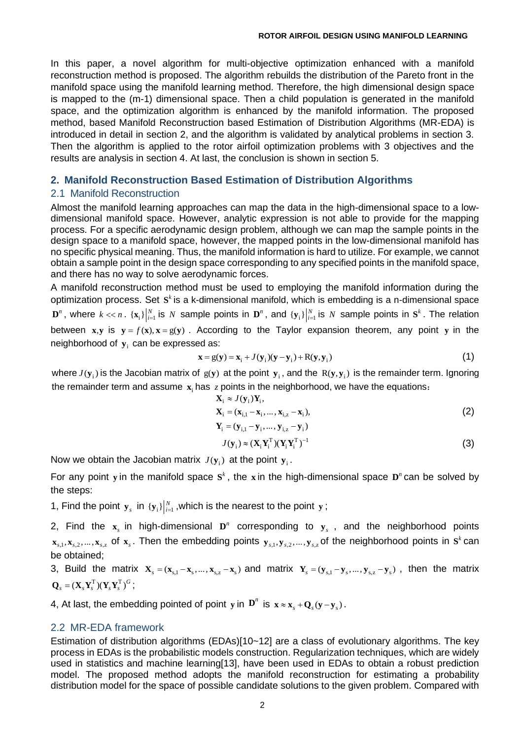In this paper, a novel algorithm for multi-objective optimization enhanced with a manifold reconstruction method is proposed. The algorithm rebuilds the distribution of the Pareto front in the manifold space using the manifold learning method. Therefore, the high dimensional design space is mapped to the (m-1) dimensional space. Then a child population is generated in the manifold space, and the optimization algorithm is enhanced by the manifold information. The proposed method, based Manifold Reconstruction based Estimation of Distribution Algorithms (MR-EDA) is introduced in detail in section 2, and the algorithm is validated by analytical problems in section 3. Then the algorithm is applied to the rotor airfoil optimization problems with 3 objectives and the results are analysis in section 4. At last, the conclusion is shown in section 5.

# **2. Manifold Reconstruction Based Estimation of Distribution Algorithms**

## 2.1 Manifold Reconstruction

Almost the manifold learning approaches can map the data in the high-dimensional space to a lowdimensional manifold space. However, analytic expression is not able to provide for the mapping process. For a specific aerodynamic design problem, although we can map the sample points in the design space to a manifold space, however, the mapped points in the low-dimensional manifold has no specific physical meaning. Thus, the manifold information is hard to utilize. For example, we cannot obtain a sample point in the design space corresponding to any specified points in the manifold space, and there has no way to solve aerodynamic forces.

A manifold reconstruction method must be used to employing the manifold information during the optimization process. Set S<sup>k</sup> is a k-dimensional manifold, which is embedding is a n-dimensional space  $\mathbf{D}^n$ , where  $k \ll n$ .  $\{\mathbf{x}_i\}_{i=1}^N$  is  $N$  sample points in  $\mathbf{D}^n$ , and  $\{\mathbf{y}_i\}_{i=1}^N$  is  $N$  sample points in  $\mathbf{S}^k$ . The relation between  $x, y$  is  $y = f(x), x = g(y)$ . According to the Taylor expansion theorem, any point y in the neighborhood of  $y_i$  can be expressed as:

$$
\mathbf{x} = g(\mathbf{y}) = \mathbf{x}_i + J(\mathbf{y}_i)(\mathbf{y} - \mathbf{y}_i) + R(\mathbf{y}, \mathbf{y}_i)
$$
(1)

where  $J(\mathbf{y}_i)$  is the Jacobian matrix of  $g(\mathbf{y})$  at the point  $\mathbf{y}_i$ , and the  $R(\mathbf{y},\mathbf{y}_i)$  is the remainder term. Ignoring the remainder term and assume  $\mathbf{x}_i$  has  $z$  points in the neighborhood, we have the equations:

$$
\mathbf{X}_{i} \approx J(\mathbf{y}_{i})\mathbf{Y}_{i}, \n\mathbf{X}_{i} = (\mathbf{x}_{i,1} - \mathbf{x}_{i}, ..., \mathbf{x}_{i,z} - \mathbf{x}_{i}), \n\mathbf{Y}_{i} = (\mathbf{y}_{i,1} - \mathbf{y}_{i}, ..., \mathbf{y}_{i,z} - \mathbf{y}_{i})
$$
\n(2)

$$
J(\mathbf{y}_i) \approx (\mathbf{X}_i \mathbf{Y}_i^{\mathrm{T}}) (\mathbf{Y}_i \mathbf{Y}_i^{\mathrm{T}})^{-1}
$$
\n(3)

Now we obtain the Jacobian matrix  $J(\mathbf{y}_i)$  at the point  $\mathbf{y}_i$ .

For any point y in the manifold space  $S<sup>k</sup>$ , the x in the high-dimensional space  $D<sup>n</sup>$  can be solved by the steps:

1, Find the point  $\mathbf{y}_s$  in  $\{\mathbf{y}_i\}_{i=1}^N$ , which is the nearest to the point  $\mathbf{y}$ ;

2, Find the  $x_s$  in high-dimensional  $D^n$  corresponding to  $y_s$ , and the neighborhood points  $x_{s,1}, x_{s,2},..., x_{s,z}$  of  $x_s$ . Then the embedding points  $y_{s,1}, y_{s,2},..., y_{s,z}$  of the neighborhood points in  $S^k$  can be obtained;

3, Build the matrix  $X_s = (x_{s,1} - x_s, ..., x_{s,z} - x_s)$  and matrix  $Y_s = (y_{s,1} - y_s, ..., y_{s,z} - y_s)$ , then the matrix  $\mathbf{Q}_s = (\mathbf{X}_s \mathbf{Y}_s^{\mathrm{T}})(\mathbf{Y}_s \mathbf{Y}_s^{\mathrm{T}})^G$ ;

4, At last, the embedding pointed of point y in  $\mathbf{D}^n$  is  $\mathbf{x} \approx \mathbf{x}_s + \mathbf{Q}_s(\mathbf{y} - \mathbf{y}_s)$ .

## 2.2 MR-EDA framework

Estimation of distribution algorithms (EDAs)[10~12] are a class of evolutionary algorithms. The key process in EDAs is the probabilistic models construction. Regularization techniques, which are widely used in statistics and machine learnin[g\[13\],](#page-9-0) have been used in EDAs to obtain a robust prediction model. The proposed method adopts the manifold reconstruction for estimating a probability distribution model for the space of possible candidate solutions to the given problem. Compared with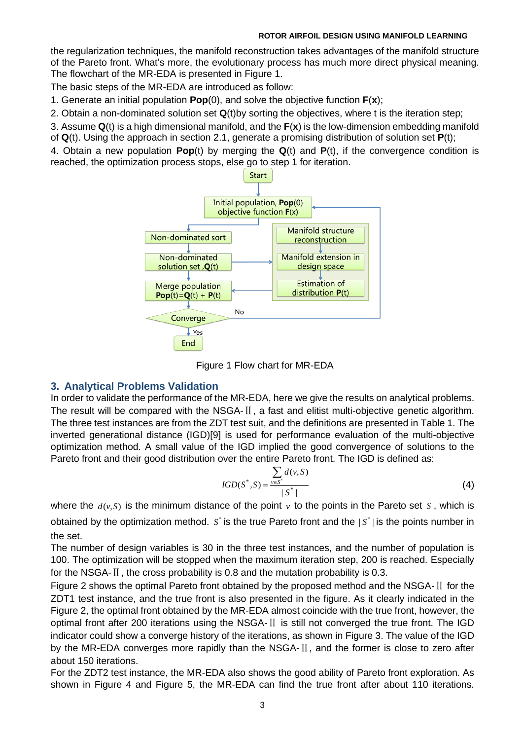### **ROTOR AIRFOIL DESIGN USING MANIFOLD LEARNING**

the regularization techniques, the manifold reconstruction takes advantages of the manifold structure of the Pareto front. What's more, the evolutionary process has much more direct physical meaning. The flowchart of the MR-EDA is presented in [Figure 1.](#page-2-0)

The basic steps of the MR-EDA are introduced as follow:

1. Generate an initial population **Pop**(0), and solve the objective function **F**(**x**);

2. Obtain a non-dominated solution set **Q**(t)by sorting the objectives, where t is the iteration step;

3. Assume **Q**(t) is a high dimensional manifold, and the **F**(**x**) is the low-dimension embedding manifold

of **Q**(t). Using the approach in section 2.1, generate a promising distribution of solution set **P**(t);

4. Obtain a new population **Pop**(t) by merging the **Q**(t) and **P**(t), if the convergence condition is reached, the optimization process stops, else go to step 1 for iteration.



Figure 1 Flow chart for MR-EDA

# <span id="page-2-0"></span>**3. Analytical Problems Validation**

In order to validate the performance of the MR-EDA, here we give the results on analytical problems. The result will be compared with the NSGA-Ⅱ, a fast and elitist multi-objective genetic algorithm. The three test instances are from the ZDT test suit, and the definitions are presented in [Table 1.](#page-3-0) The inverted generational distance (IGD[\)\[9\]](#page-8-0) is used for performance evaluation of the multi-objective optimization method. A small value of the IGD implied the good convergence of solutions to the Pareto front and their good distribution over the entire Pareto front. The IGD is defined as:

$$
IGD(S^*, S) = \frac{\sum_{v \in S^*} d(v, S)}{|S^*|}
$$
 (4)

where the  $d(v, S)$  is the minimum distance of the point  $v$  to the points in the Pareto set  $S$ , which is obtained by the optimization method.  $S^*$  is the true Pareto front and the  $|S^*|$  is the points number in the set.

The number of design variables is 30 in the three test instances, and the number of population is 100. The optimization will be stopped when the maximum iteration step, 200 is reached. Especially for the NSGA-Ⅱ, the cross probability is 0.8 and the mutation probability is 0.3.

[Figure 2](#page-3-1) shows the optimal Pareto front obtained by the proposed method and the NSGA-Ⅱ for the ZDT1 test instance, and the true front is also presented in the figure. As it clearly indicated in the [Figure 2,](#page-3-1) the optimal front obtained by the MR-EDA almost coincide with the true front, however, the optimal front after 200 iterations using the NSGA-Ⅱ is still not converged the true front. The IGD indicator could show a converge history of the iterations, as shown in [Figure 3.](#page-3-2) The value of the IGD by the MR-EDA converges more rapidly than the NSGA-II, and the former is close to zero after about 150 iterations.

For the ZDT2 test instance, the MR-EDA also shows the good ability of Pareto front exploration. As shown in [Figure 4](#page-4-0) and [Figure 5,](#page-4-1) the MR-EDA can find the true front after about 110 iterations.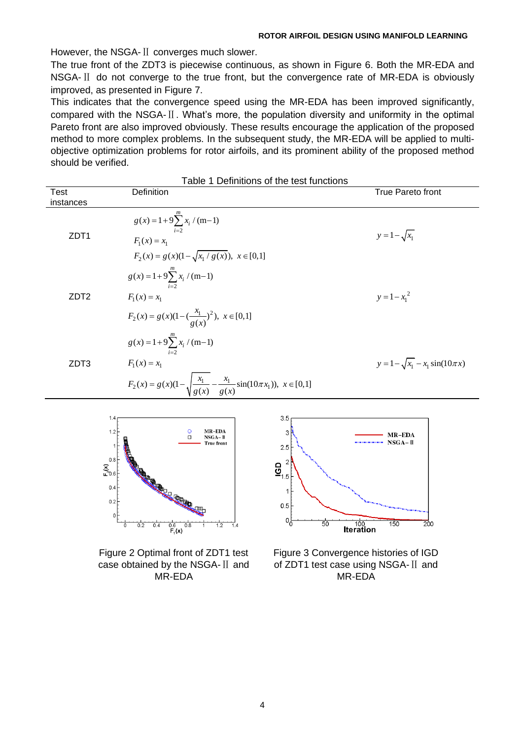However, the NSGA-Ⅱ converges much slower.

The true front of the ZDT3 is piecewise continuous, as shown in [Figure 6.](#page-4-2) Both the MR-EDA and NSGA-Ⅱ do not converge to the true front, but the convergence rate of MR-EDA is obviously improved, as presented in [Figure 7.](#page-4-3)

This indicates that the convergence speed using the MR-EDA has been improved significantly, compared with the NSGA-Ⅱ. What's more, the population diversity and uniformity in the optimal Pareto front are also improved obviously. These results encourage the application of the proposed method to more complex problems. In the subsequent study, the MR-EDA will be applied to multiobjective optimization problems for rotor airfoils, and its prominent ability of the proposed method should be verified.

<span id="page-3-0"></span>

| Table 1 Definitions of the test functions |                                                                                             |                                          |  |  |  |
|-------------------------------------------|---------------------------------------------------------------------------------------------|------------------------------------------|--|--|--|
| Test                                      | Definition                                                                                  | True Pareto front                        |  |  |  |
| instances                                 |                                                                                             |                                          |  |  |  |
| ZDT1                                      | $g(x) = 1 + 9 \sum_{i=1}^{m} x_i / (m-1)$<br>$F_1(x) = x_1$                                 | $y = 1 - \sqrt{x_1}$                     |  |  |  |
|                                           | $F_2(x) = g(x)(1 - \sqrt{x_1/g(x)})$ , $x \in [0,1]$                                        |                                          |  |  |  |
| ZDT <sub>2</sub>                          | $g(x) = 1 + 9 \sum_{i=2}^{m} x_i / (m-1)$                                                   |                                          |  |  |  |
|                                           | $F_1(x) = x_1$                                                                              | $y = 1 - x_1^2$                          |  |  |  |
|                                           | $F_2(x) = g(x)(1 - (\frac{x_1}{g(x)})^2), x \in [0,1]$                                      |                                          |  |  |  |
| ZDT3                                      | $g(x) = 1 + 9 \sum_{i=2}^{m} x_i / (m-1)$                                                   |                                          |  |  |  |
|                                           | $F_1(x) = x_1$                                                                              | $y = 1 - \sqrt{x_1} - x_1 \sin(10\pi x)$ |  |  |  |
|                                           | $F_2(x) = g(x)(1 - \sqrt{\frac{x_1}{g(x)} - \frac{x_1}{g(x)}}\sin(10\pi x_1)), x \in [0,1]$ |                                          |  |  |  |
|                                           | 3.5                                                                                         |                                          |  |  |  |



<span id="page-3-1"></span>Figure 2 Optimal front of ZDT1 test case obtained by the NSGA-Ⅱ and MR-EDA



<span id="page-3-2"></span>Figure 3 Convergence histories of IGD of ZDT1 test case using NSGA-Ⅱ and MR-EDA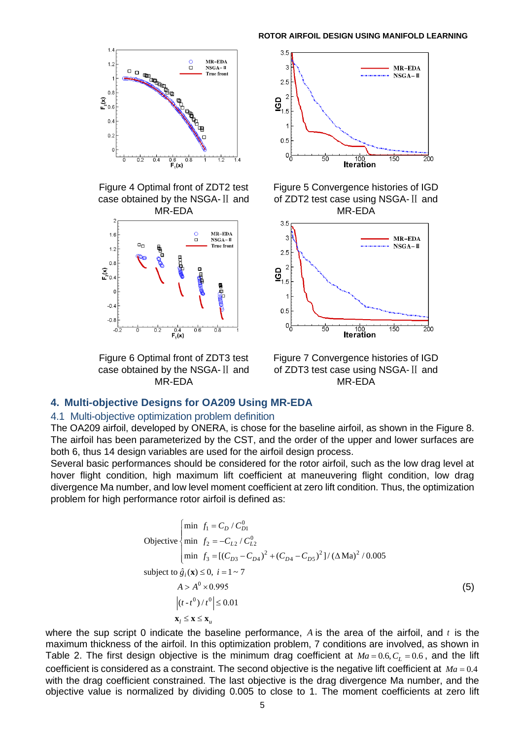

<span id="page-4-0"></span>Figure 4 Optimal front of ZDT2 test case obtained by the NSGA-Ⅱ and MR-EDA



<span id="page-4-2"></span>Figure 6 Optimal front of ZDT3 test case obtained by the NSGA-Ⅱ and MR-EDA



<span id="page-4-1"></span>Figure 5 Convergence histories of IGD of ZDT2 test case using NSGA-Ⅱ and MR-EDA



<span id="page-4-3"></span>Figure 7 Convergence histories of IGD of ZDT3 test case using NSGA-Ⅱ and MR-EDA

## **4. Multi-objective Designs for OA209 Using MR-EDA**

### 4.1 Multi-objective optimization problem definition

The OA209 airfoil, developed by ONERA, is chose for the baseline airfoil, as shown in the [Figure 8.](#page-5-0) The airfoil has been parameterized by the CST, and the order of the upper and lower surfaces are both 6, thus 14 design variables are used for the airfoil design process.

Several basic performances should be considered for the rotor airfoil, such as the low drag level at hover flight condition, high maximum lift coefficient at maneuvering flight condition, low drag divergence Ma number, and low level moment coefficient at zero lift condition. Thus, the optimization problem for high performance rotor airfoil is defined as:

$$
\begin{aligned}\n\text{Objective} &\begin{cases}\n\min f_1 &= C_D / C_{D1}^0 \\
\min f_2 &= -C_{L2} / C_{L2}^0 \\
\min f_3 &= \left[ (C_{D3} - C_{D4})^2 + (C_{D4} - C_{D5})^2 \right] / (\Delta \text{Ma})^2 / 0.005\n\end{cases} \\
\text{subject to } \hat{g}_i(\mathbf{x}) \le 0, \ i = 1 \sim 7 \\
A > A^0 \times 0.995 \\
\left| (t - t^0) / t^0 \right| \le 0.01 \\
\mathbf{x}_l \le \mathbf{x} \le \mathbf{x}_u\n\end{cases}\n\tag{5}
$$

where the sup script 0 indicate the baseline performance,  $A$  is the area of the airfoil, and  $t$  is the maximum thickness of the airfoil. In this optimization problem, 7 conditions are involved, as shown in [Table 2](#page-5-1). The first design objective is the minimum drag coefficient at  $Ma = 0.6, C<sub>L</sub> = 0.6$ , and the lift coefficient is considered as a constraint. The second objective is the negative lift coefficient at *Ma* = 0.4 with the drag coefficient constrained. The last objective is the drag divergence Ma number, and the objective value is normalized by dividing 0.005 to close to 1. The moment coefficients at zero lift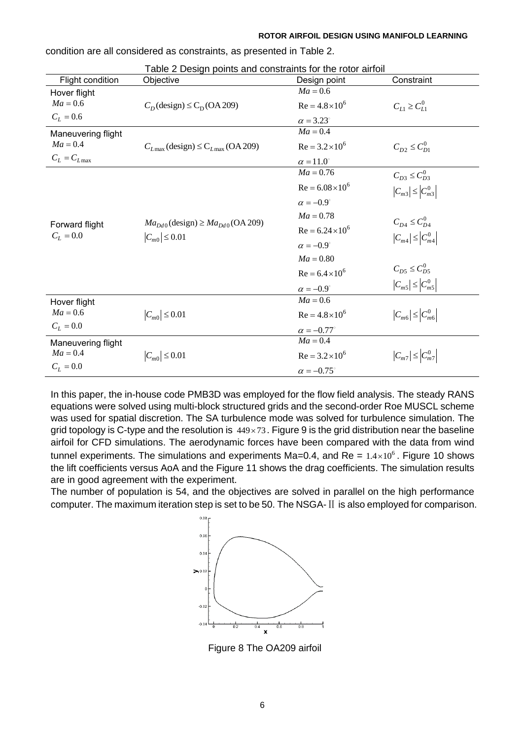<span id="page-5-1"></span>

| Table 2 Design points and constraints for the rotor airfoil |                                                              |                          |                                                         |  |  |  |
|-------------------------------------------------------------|--------------------------------------------------------------|--------------------------|---------------------------------------------------------|--|--|--|
| Flight condition                                            | Objective                                                    | Design point             | Constraint                                              |  |  |  |
| Hover flight                                                |                                                              | $Ma = 0.6$               |                                                         |  |  |  |
| $Ma = 0.6$                                                  | $C_D$ (design) $\leq C_D$ (OA 209)                           | $Re = 4.8 \times 10^6$   | $C_{L1} \ge C_{L1}^0$                                   |  |  |  |
| $C_L = 0.6$                                                 |                                                              | $\alpha = 3.23^\circ$    |                                                         |  |  |  |
| Maneuvering flight                                          |                                                              | $Ma = 0.4$               |                                                         |  |  |  |
| $Ma = 0.4$                                                  | $C_{L\text{max}}$ (design) $\leq$ C <sub>Lmax</sub> (OA 209) | $Re = 3.2 \times 10^6$   | $C_{D2} \leq C_{D1}^0$                                  |  |  |  |
| $C_L = C_{L \max}$                                          |                                                              | $\alpha = 11.0^\circ$    |                                                         |  |  |  |
|                                                             |                                                              | $Ma = 0.76$              | $C_{D3} \leq C_{D3}^0$                                  |  |  |  |
|                                                             |                                                              | $Re = 6.08 \times 10^6$  | $ C_{m3}  \leq  C_{m3}^{0} $                            |  |  |  |
|                                                             |                                                              | $\alpha = -0.9^{\circ}$  |                                                         |  |  |  |
|                                                             | $Ma_{Dd0}$ (design) $\geq Ma_{Dd0}$ (OA 209)                 | $Ma = 0.78$              | $C_{D4} \le C_{D4}^{0}$<br>$ C_{m4}  \leq  C_{m4}^{0} $ |  |  |  |
| Forward flight<br>$C_L = 0.0$                               | $ C_{m0}  \le 0.01$                                          | $Re = 6.24 \times 10^6$  |                                                         |  |  |  |
|                                                             |                                                              | $\alpha = -0.9^{\circ}$  |                                                         |  |  |  |
|                                                             |                                                              | $Ma = 0.80$              |                                                         |  |  |  |
|                                                             |                                                              | $Re = 6.4 \times 10^6$   | $C_{D5} \le C_{D5}^{0}$                                 |  |  |  |
|                                                             |                                                              | $\alpha = -0.9^{\circ}$  | $ C_{m5}  \leq  C_{m5}^0 $                              |  |  |  |
| Hover flight                                                |                                                              | $Ma = 0.6$               |                                                         |  |  |  |
| $Ma = 0.6$                                                  | $ C_{m0}  \le 0.01$                                          | $Re = 4.8 \times 10^6$   | $ C_{m6}  \leq  C_{m6}^0 $                              |  |  |  |
| $C_L = 0.0$                                                 |                                                              | $\alpha = -0.77^{\circ}$ |                                                         |  |  |  |
| Maneuvering flight                                          |                                                              | $Ma = 0.4$               |                                                         |  |  |  |
| $Ma = 0.4$                                                  | $ C_{m0}  \le 0.01$                                          | $Re = 3.2 \times 10^6$   | $ C_{m7}  \leq  C_{m7}^{0} $                            |  |  |  |
| $C_L = 0.0$                                                 |                                                              | $\alpha = -0.75^{\circ}$ |                                                         |  |  |  |

condition are all considered as constraints, as presented in [Table 2](#page-5-1).

In this paper, the in-house code PMB3D was employed for the flow field analysis. The steady RANS equations were solved using multi-block structured grids and the second-order Roe MUSCL scheme was used for spatial discretion. The SA turbulence mode was solved for turbulence simulation. The grid topology is C-type and the resolution is  $449\times73$ . [Figure 9](#page-6-0) is the grid distribution near the baseline airfoil for CFD simulations. The aerodynamic forces have been compared with the data from wind tunnel experiments. The simulations and experiments Ma=0.4, and Re =  $1.4 \times 10^6$ . [Figure 10](#page-6-1) shows the lift coefficients versus AoA and the [Figure 11](#page-6-2) shows the drag coefficients. The simulation results are in good agreement with the experiment.

<span id="page-5-0"></span>The number of population is 54, and the objectives are solved in parallel on the high performance computer. The maximum iteration step is set to be 50. The NSGA-Ⅱ is also employed for comparison.



Figure 8 The OA209 airfoil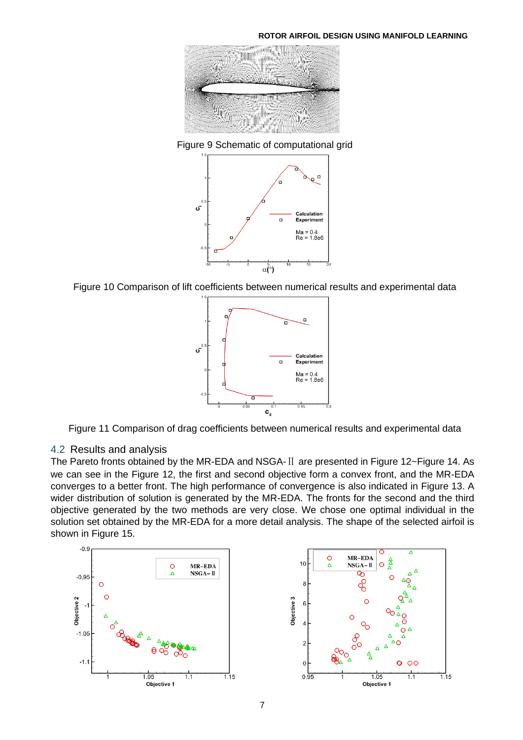

Figure 9 Schematic of computational grid

<span id="page-6-0"></span>

<span id="page-6-1"></span>Figure 10 Comparison of lift coefficients between numerical results and experimental data



<span id="page-6-2"></span>Figure 11 Comparison of drag coefficients between numerical results and experimental data

## 4.2 Results and analysis

The Pareto fronts obtained by the MR-EDA and NSGA-Ⅱ are presented in [Figure 12~](#page-7-0)[Figure 14.](#page-7-1) As we can see in the [Figure 12,](#page-7-0) the first and second objective form a convex front, and the MR-EDA converges to a better front. The high performance of convergence is also indicated in [Figure 13.](#page-7-2) A wider distribution of solution is generated by the MR-EDA. The fronts for the second and the third objective generated by the two methods are very close. We chose one optimal individual in the solution set obtained by the MR-EDA for a more detail analysis. The shape of the selected airfoil is shown in [Figure 15.](#page-7-3)

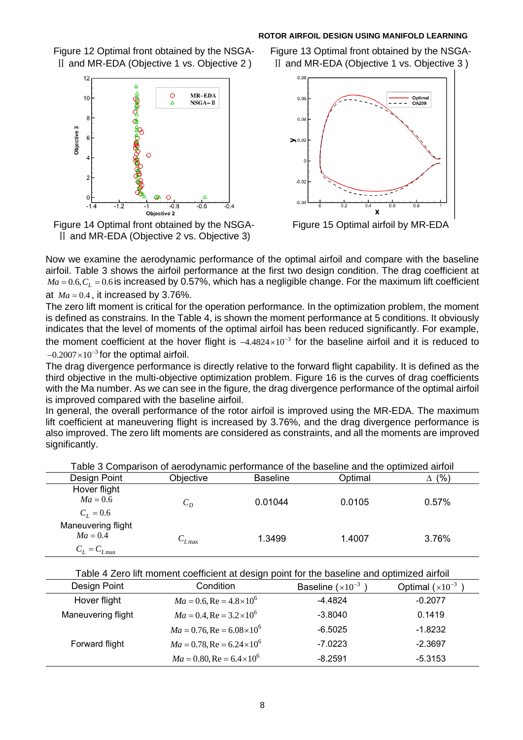#### **ROTOR AIRFOIL DESIGN USING MANIFOLD LEARNING**

<span id="page-7-0"></span>Figure 12 Optimal front obtained by the NSGA- Ⅱ and MR-EDA (Objective 1 vs. Objective 2 )



<span id="page-7-1"></span>Figure 14 Optimal front obtained by the NSGA- Ⅱ and MR-EDA (Objective 2 vs. Objective 3)

<span id="page-7-2"></span>Figure 13 Optimal front obtained by the NSGA- Ⅱ and MR-EDA (Objective 1 vs. Objective 3 )



<span id="page-7-3"></span>Figure 15 Optimal airfoil by MR-EDA

Now we examine the aerodynamic performance of the optimal airfoil and compare with the baseline airfoil. [Table 3](#page-7-4) shows the airfoil performance at the first two design condition. The drag coefficient at  $\emph{Ma}=0.6, C_{L}=0.6$  is increased by 0.57%, which has a negligible change. For the maximum lift coefficient at  $Ma = 0.4$ , it increased by 3.76%.

The zero lift moment is critical for the operation performance. In the optimization problem, the moment is defined as constrains. In the [Table 4](#page-7-5), is shown the moment performance at 5 conditions. It obviously indicates that the level of moments of the optimal airfoil has been reduced significantly. For example, the moment coefficient at the hover flight is  $-4.4824\times10^{-3}$  for the baseline airfoil and it is reduced to  $-0.2007\times10^{-3}$  for the optimal airfoil.

The drag divergence performance is directly relative to the forward flight capability. It is defined as the third objective in the multi-objective optimization problem. [Figure 16](#page-8-1) is the curves of drag coefficients with the Ma number. As we can see in the figure, the drag divergence performance of the optimal airfoil is improved compared with the baseline airfoil.

In general, the overall performance of the rotor airfoil is improved using the MR-EDA. The maximum lift coefficient at maneuvering flight is increased by 3.76%, and the drag divergence performance is also improved. The zero lift moments are considered as constraints, and all the moments are improved significantly.

<span id="page-7-4"></span>

| Table 3 Comparison of aerodynamic performance of the baseline and the optimized airfoil |                 |                 |         |            |  |
|-----------------------------------------------------------------------------------------|-----------------|-----------------|---------|------------|--|
| Design Point                                                                            | Objective       | <b>Baseline</b> | Optimal | (9/0)<br>л |  |
| Hover flight                                                                            |                 |                 |         |            |  |
| $Ma = 0.6$                                                                              | $C_D$           | 0.01044         | 0.0105  | 0.57%      |  |
| $C_L = 0.6$                                                                             |                 |                 |         |            |  |
| Maneuvering flight                                                                      |                 |                 |         |            |  |
| $Ma = 0.4$                                                                              | $C_{L \rm max}$ | 1.3499          | 1.4007  | 3.76%      |  |
| $C_L = C_{Lmax}$                                                                        |                 |                 |         |            |  |

Table 4 Zero lift moment coefficient at design point for the baseline and optimized airfoil

<span id="page-7-5"></span>

| Design Point       | Condition                                 | Baseline $(x10^{-3})$ | Optimal $(x10^{-3})$ |
|--------------------|-------------------------------------------|-----------------------|----------------------|
| Hover flight       | $Ma = 0.6$ , Re = $4.8 \times 10^6$       | $-4.4824$             | $-0.2077$            |
| Maneuvering flight | $Ma = 0.4$ , Re = $3.2 \times 10^6$       | $-3.8040$             | 0.1419               |
|                    | $Ma = 0.76$ , Re = $6.08 \times 10^6$     | $-6.5025$             | $-1.8232$            |
| Forward flight     | $Ma = 0.78$ , Re = 6.24 × 10 <sup>6</sup> | $-7.0223$             | $-2.3697$            |
|                    | $Ma = 0.80$ , Re = 6.4 × 10 <sup>6</sup>  | $-8.2591$             | $-5.3153$            |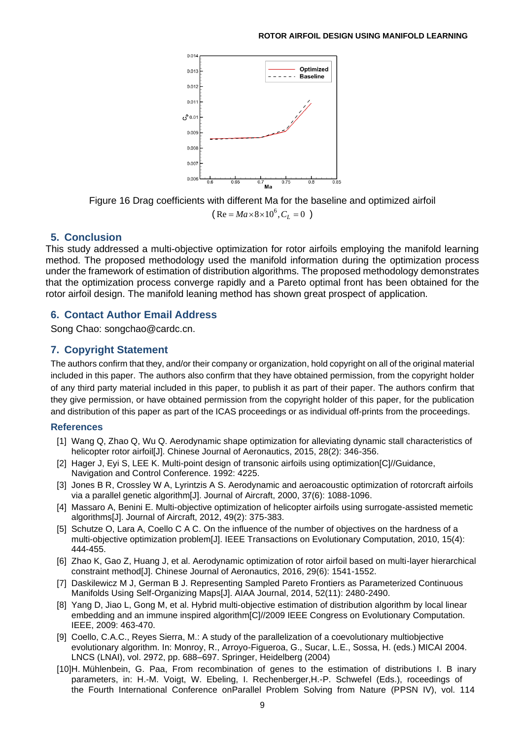

Figure 16 Drag coefficients with different Ma for the baseline and optimized airfoil  $(Re = Ma \times 8 \times 10^6, C_L = 0)$ 

## <span id="page-8-1"></span>**5. Conclusion**

This study addressed a multi-objective optimization for rotor airfoils employing the manifold learning method. The proposed methodology used the manifold information during the optimization process under the framework of estimation of distribution algorithms. The proposed methodology demonstrates that the optimization process converge rapidly and a Pareto optimal front has been obtained for the rotor airfoil design. The manifold leaning method has shown great prospect of application.

# **6. Contact Author Email Address**

Song Chao: songchao@cardc.cn.

# **7. Copyright Statement**

The authors confirm that they, and/or their company or organization, hold copyright on all of the original material included in this paper. The authors also confirm that they have obtained permission, from the copyright holder of any third party material included in this paper, to publish it as part of their paper. The authors confirm that they give permission, or have obtained permission from the copyright holder of this paper, for the publication and distribution of this paper as part of the ICAS proceedings or as individual off-prints from the proceedings.

## **References**

- [1] Wang Q, Zhao Q, Wu Q. Aerodynamic shape optimization for alleviating dynamic stall characteristics of helicopter rotor airfoil[J]. Chinese Journal of Aeronautics, 2015, 28(2): 346-356.
- [2] Hager J, Eyi S, LEE K. Multi-point design of transonic airfoils using optimization[C]//Guidance, Navigation and Control Conference. 1992: 4225.
- [3] Jones B R, Crossley W A, Lyrintzis A S. Aerodynamic and aeroacoustic optimization of rotorcraft airfoils via a parallel genetic algorithm[J]. Journal of Aircraft, 2000, 37(6): 1088-1096.
- [4] Massaro A, Benini E. Multi-objective optimization of helicopter airfoils using surrogate-assisted memetic algorithms[J]. Journal of Aircraft, 2012, 49(2): 375-383.
- [5] Schutze O, Lara A, Coello C A C. On the influence of the number of objectives on the hardness of a multi-objective optimization problem[J]. IEEE Transactions on Evolutionary Computation, 2010, 15(4): 444-455.
- [6] Zhao K, Gao Z, Huang J, et al. Aerodynamic optimization of rotor airfoil based on multi-layer hierarchical constraint method[J]. Chinese Journal of Aeronautics, 2016, 29(6): 1541-1552.
- [7] Daskilewicz M J, German B J. Representing Sampled Pareto Frontiers as Parameterized Continuous Manifolds Using Self-Organizing Maps[J]. AIAA Journal, 2014, 52(11): 2480-2490.
- [8] Yang D, Jiao L, Gong M, et al. Hybrid multi-objective estimation of distribution algorithm by local linear embedding and an immune inspired algorithm[C]//2009 IEEE Congress on Evolutionary Computation. IEEE, 2009: 463-470.
- <span id="page-8-0"></span>[9] Coello, C.A.C., Reyes Sierra, M.: A study of the parallelization of a coevolutionary multiobjective evolutionary algorithm. In: Monroy, R., Arroyo-Figueroa, G., Sucar, L.E., Sossa, H. (eds.) MICAI 2004. LNCS (LNAI), vol. 2972, pp. 688–697. Springer, Heidelberg (2004)
- [10]H. Mühlenbein, G. Paa, From recombination of genes to the estimation of distributions I. B inary parameters, in: H.-M. Voigt, W. Ebeling, I. Rechenberger,H.-P. Schwefel (Eds.), roceedings of the Fourth International Conference onParallel Problem Solving from Nature (PPSN IV), vol. 114